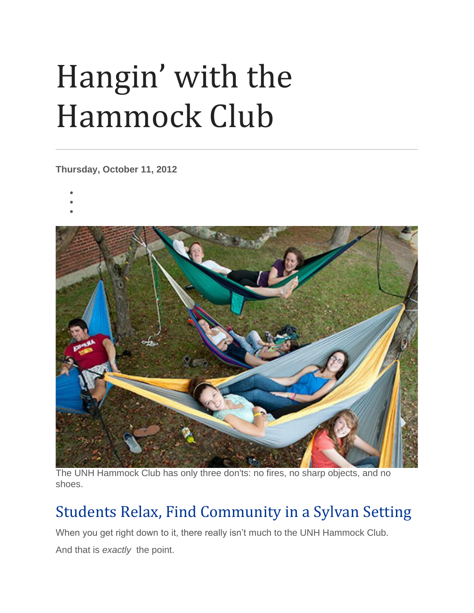## Hangin' with the Hammock Club

**Thursday, October 11, 2012**

- •
- •
- •



The UNH Hammock Club has only three don'ts: no fires, no sharp objects, and no shoes.

## Students Relax, Find Community in a Sylvan Setting

When you get right down to it, there really isn't much to the UNH Hammock Club.

And that is *exactly* the point.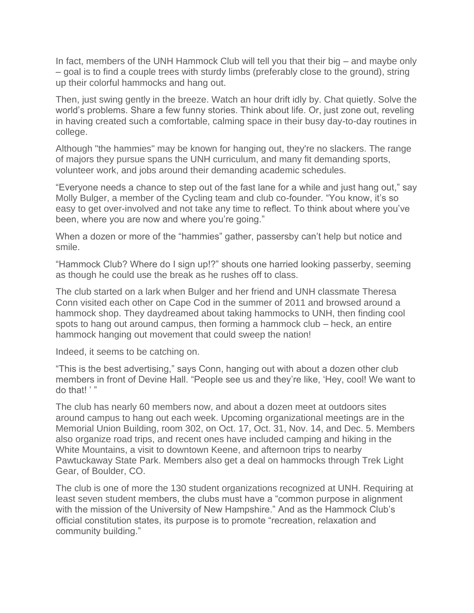In fact, members of the UNH Hammock Club will tell you that their big – and maybe only – goal is to find a couple trees with sturdy limbs (preferably close to the ground), string up their colorful hammocks and hang out.

Then, just swing gently in the breeze. Watch an hour drift idly by. Chat quietly. Solve the world's problems. Share a few funny stories. Think about life. Or, just zone out, reveling in having created such a comfortable, calming space in their busy day-to-day routines in college.

Although "the hammies" may be known for hanging out, they're no slackers. The range of majors they pursue spans the UNH curriculum, and many fit demanding sports, volunteer work, and jobs around their demanding academic schedules.

"Everyone needs a chance to step out of the fast lane for a while and just hang out," say Molly Bulger, a member of the Cycling team and club co-founder. "You know, it's so easy to get over-involved and not take any time to reflect. To think about where you've been, where you are now and where you're going."

When a dozen or more of the "hammies" gather, passersby can't help but notice and smile.

"Hammock Club? Where do I sign up!?" shouts one harried looking passerby, seeming as though he could use the break as he rushes off to class.

The club started on a lark when Bulger and her friend and UNH classmate Theresa Conn visited each other on Cape Cod in the summer of 2011 and browsed around a hammock shop. They daydreamed about taking hammocks to UNH, then finding cool spots to hang out around campus, then forming a hammock club – heck, an entire hammock hanging out movement that could sweep the nation!

Indeed, it seems to be catching on.

"This is the best advertising," says Conn, hanging out with about a dozen other club members in front of Devine Hall. "People see us and they're like, 'Hey, cool! We want to do that! ' "

The club has nearly 60 members now, and about a dozen meet at outdoors sites around campus to hang out each week. Upcoming organizational meetings are in the Memorial Union Building, room 302, on Oct. 17, Oct. 31, Nov. 14, and Dec. 5. Members also organize road trips, and recent ones have included camping and hiking in the White Mountains, a visit to downtown Keene, and afternoon trips to nearby Pawtuckaway State Park. Members also get a deal on hammocks through Trek Light Gear, of Boulder, CO.

The club is one of more the 130 student organizations recognized at UNH. Requiring at least seven student members, the clubs must have a "common purpose in alignment with the mission of the University of New Hampshire." And as the Hammock Club's official constitution states, its purpose is to promote "recreation, relaxation and community building."